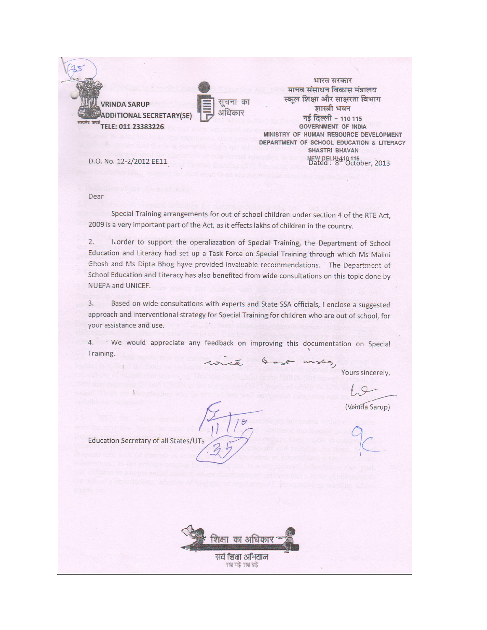**VRINDA SARUP IDDITIONAL SECRETARY(SE)** ELE: 011 23383226



भारत सरकार मानव संसाधन विकास मंत्रालय स्कल शिक्षा और साक्षरता विभाग शास्त्री भवन नई दिल्ली - 110 115 **GOVERNMENT OF INDIA** MINISTRY OF HUMAN RESOURCE DEVELOPMENT DEPARTMENT OF SCHOOL EDUCATION & LITERACY **SHASTRI BHAVAN** NEW DELHI-110 115<br>Dated: 8<sup>th October</sup>, 2013

D.O. No. 12-2/2012 EE11

Dear

Special Training arrangements for out of school children under section 4 of the RTE Act, 2009 is a very important part of the Act, as it effects lakhs of children in the country.

 $2.$ Worder to support the operaliazation of Special Training, the Department of School Education and Literacy had set up a Task Force on Special Training through which Ms Malini Ghosh and Ms Dipta Bhog have provided invaluable recommendations. The Department of School Education and Literacy has also benefited from wide consultations on this topic done by NUEPA and UNICEF.

Based on wide consultations with experts and State SSA officials, I enclose a suggested  $3.$ approach and interventional strategy for Special Training for children who are out of school, for your assistance and use.

4. We would appreciate any feedback on improving this documentation on Special Training. wishes

Yours sincerely,

(Vrinda Sarup)

Education Secretary of all States/UTs

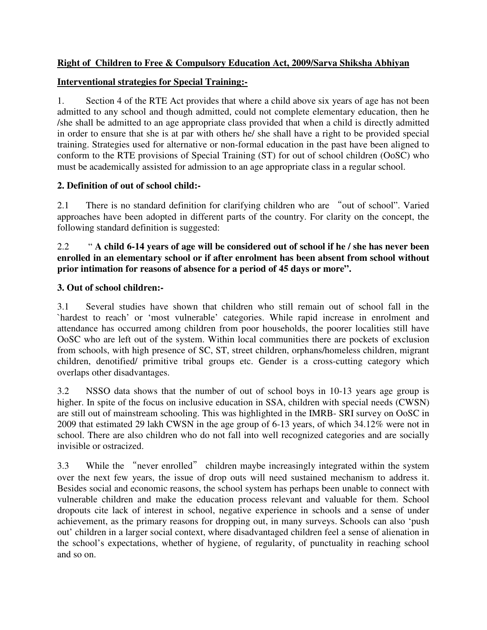# **Right of Children to Free & Compulsory Education Act, 2009/Sarva Shiksha Abhiyan**

# **Interventional strategies for Special Training:-**

1. Section 4 of the RTE Act provides that where a child above six years of age has not been admitted to any school and though admitted, could not complete elementary education, then he /she shall be admitted to an age appropriate class provided that when a child is directly admitted in order to ensure that she is at par with others he/ she shall have a right to be provided special training. Strategies used for alternative or non-formal education in the past have been aligned to conform to the RTE provisions of Special Training (ST) for out of school children (OoSC) who must be academically assisted for admission to an age appropriate class in a regular school.

# **2. Definition of out of school child:-**

2.1 There is no standard definition for clarifying children who are "out of school". Varied approaches have been adopted in different parts of the country. For clarity on the concept, the following standard definition is suggested:

## 2.2 " **A child 6-14 years of age will be considered out of school if he / she has never been enrolled in an elementary school or if after enrolment has been absent from school without prior intimation for reasons of absence for a period of 45 days or more".**

# **3. Out of school children:-**

3.1 Several studies have shown that children who still remain out of school fall in the `hardest to reach' or 'most vulnerable' categories. While rapid increase in enrolment and attendance has occurred among children from poor households, the poorer localities still have OoSC who are left out of the system. Within local communities there are pockets of exclusion from schools, with high presence of SC, ST, street children, orphans/homeless children, migrant children, denotified/ primitive tribal groups etc. Gender is a cross-cutting category which overlaps other disadvantages.

3.2 NSSO data shows that the number of out of school boys in 10-13 years age group is higher. In spite of the focus on inclusive education in SSA, children with special needs (CWSN) are still out of mainstream schooling. This was highlighted in the IMRB- SRI survey on OoSC in 2009 that estimated 29 lakh CWSN in the age group of 6-13 years, of which 34.12% were not in school. There are also children who do not fall into well recognized categories and are socially invisible or ostracized.

3.3 While the "never enrolled" children maybe increasingly integrated within the system over the next few years, the issue of drop outs will need sustained mechanism to address it. Besides social and economic reasons, the school system has perhaps been unable to connect with vulnerable children and make the education process relevant and valuable for them. School dropouts cite lack of interest in school, negative experience in schools and a sense of under achievement, as the primary reasons for dropping out, in many surveys. Schools can also 'push out' children in a larger social context, where disadvantaged children feel a sense of alienation in the school's expectations, whether of hygiene, of regularity, of punctuality in reaching school and so on.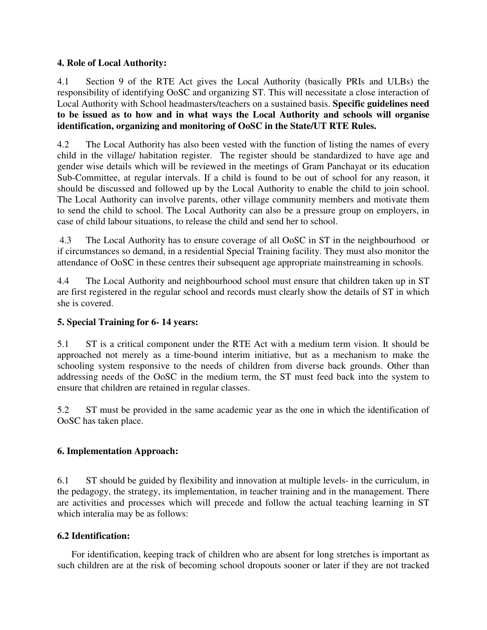## **4. Role of Local Authority:**

4.1 Section 9 of the RTE Act gives the Local Authority (basically PRIs and ULBs) the responsibility of identifying OoSC and organizing ST. This will necessitate a close interaction of Local Authority with School headmasters/teachers on a sustained basis. **Specific guidelines need to be issued as to how and in what ways the Local Authority and schools will organise identification, organizing and monitoring of OoSC in the State/UT RTE Rules.**

4.2 The Local Authority has also been vested with the function of listing the names of every child in the village/ habitation register. The register should be standardized to have age and gender wise details which will be reviewed in the meetings of Gram Panchayat or its education Sub-Committee, at regular intervals. If a child is found to be out of school for any reason, it should be discussed and followed up by the Local Authority to enable the child to join school. The Local Authority can involve parents, other village community members and motivate them to send the child to school. The Local Authority can also be a pressure group on employers, in case of child labour situations, to release the child and send her to school.

 4.3 The Local Authority has to ensure coverage of all OoSC in ST in the neighbourhood or if circumstances so demand, in a residential Special Training facility. They must also monitor the attendance of OoSC in these centres their subsequent age appropriate mainstreaming in schools.

4.4 The Local Authority and neighbourhood school must ensure that children taken up in ST are first registered in the regular school and records must clearly show the details of ST in which she is covered.

# **5. Special Training for 6- 14 years:**

5.1 ST is a critical component under the RTE Act with a medium term vision. It should be approached not merely as a time-bound interim initiative, but as a mechanism to make the schooling system responsive to the needs of children from diverse back grounds. Other than addressing needs of the OoSC in the medium term, the ST must feed back into the system to ensure that children are retained in regular classes.

5.2 ST must be provided in the same academic year as the one in which the identification of OoSC has taken place.

# **6. Implementation Approach:**

6.1 ST should be guided by flexibility and innovation at multiple levels- in the curriculum, in the pedagogy, the strategy, its implementation, in teacher training and in the management. There are activities and processes which will precede and follow the actual teaching learning in ST which interalia may be as follows:

## **6.2 Identification:**

For identification, keeping track of children who are absent for long stretches is important as such children are at the risk of becoming school dropouts sooner or later if they are not tracked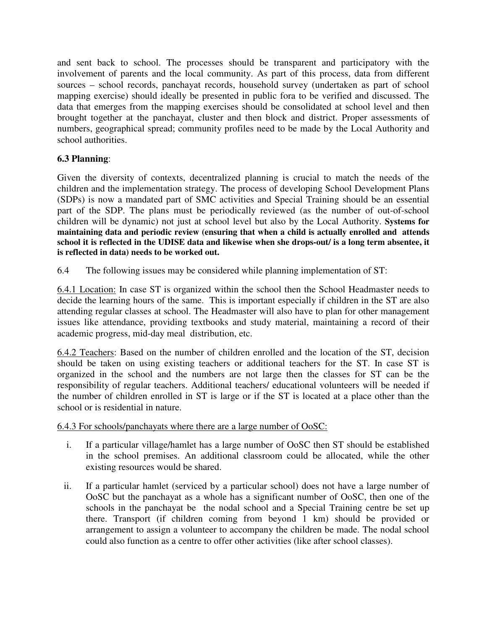and sent back to school. The processes should be transparent and participatory with the involvement of parents and the local community. As part of this process, data from different sources – school records, panchayat records, household survey (undertaken as part of school mapping exercise) should ideally be presented in public fora to be verified and discussed. The data that emerges from the mapping exercises should be consolidated at school level and then brought together at the panchayat, cluster and then block and district. Proper assessments of numbers, geographical spread; community profiles need to be made by the Local Authority and school authorities.

# **6.3 Planning**:

Given the diversity of contexts, decentralized planning is crucial to match the needs of the children and the implementation strategy. The process of developing School Development Plans (SDPs) is now a mandated part of SMC activities and Special Training should be an essential part of the SDP. The plans must be periodically reviewed (as the number of out-of-school children will be dynamic) not just at school level but also by the Local Authority. **Systems for maintaining data and periodic review (ensuring that when a child is actually enrolled and attends school it is reflected in the UDISE data and likewise when she drops-out/ is a long term absentee, it is reflected in data) needs to be worked out.** 

6.4 The following issues may be considered while planning implementation of ST:

6.4.1 Location: In case ST is organized within the school then the School Headmaster needs to decide the learning hours of the same. This is important especially if children in the ST are also attending regular classes at school. The Headmaster will also have to plan for other management issues like attendance, providing textbooks and study material, maintaining a record of their academic progress, mid-day meal distribution, etc.

6.4.2 Teachers: Based on the number of children enrolled and the location of the ST, decision should be taken on using existing teachers or additional teachers for the ST. In case ST is organized in the school and the numbers are not large then the classes for ST can be the responsibility of regular teachers. Additional teachers/ educational volunteers will be needed if the number of children enrolled in ST is large or if the ST is located at a place other than the school or is residential in nature.

6.4.3 For schools/panchayats where there are a large number of OoSC:

- i. If a particular village/hamlet has a large number of OoSC then ST should be established in the school premises. An additional classroom could be allocated, while the other existing resources would be shared.
- ii. If a particular hamlet (serviced by a particular school) does not have a large number of OoSC but the panchayat as a whole has a significant number of OoSC, then one of the schools in the panchayat be the nodal school and a Special Training centre be set up there. Transport (if children coming from beyond 1 km) should be provided or arrangement to assign a volunteer to accompany the children be made. The nodal school could also function as a centre to offer other activities (like after school classes).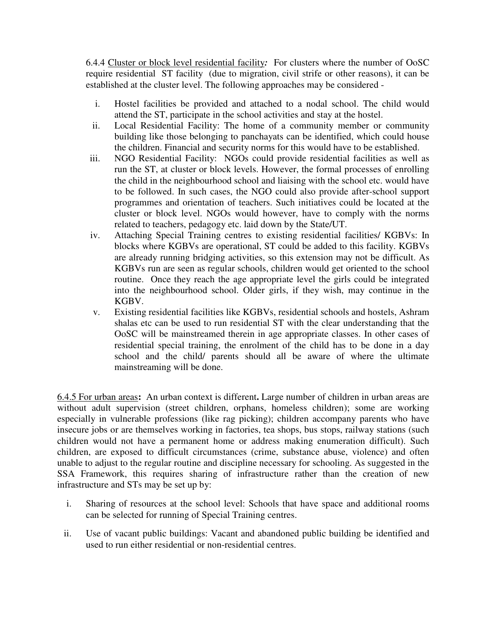6.4.4 Cluster or block level residential facility*:* For clusters where the number of OoSC require residential ST facility (due to migration, civil strife or other reasons), it can be established at the cluster level. The following approaches may be considered -

- i. Hostel facilities be provided and attached to a nodal school. The child would attend the ST, participate in the school activities and stay at the hostel.
- ii. Local Residential Facility: The home of a community member or community building like those belonging to panchayats can be identified, which could house the children. Financial and security norms for this would have to be established.
- iii. NGO Residential Facility: NGOs could provide residential facilities as well as run the ST, at cluster or block levels. However, the formal processes of enrolling the child in the neighbourhood school and liaising with the school etc. would have to be followed. In such cases, the NGO could also provide after-school support programmes and orientation of teachers. Such initiatives could be located at the cluster or block level. NGOs would however, have to comply with the norms related to teachers, pedagogy etc. laid down by the State/UT.
- iv. Attaching Special Training centres to existing residential facilities/ KGBVs: In blocks where KGBVs are operational, ST could be added to this facility. KGBVs are already running bridging activities, so this extension may not be difficult. As KGBVs run are seen as regular schools, children would get oriented to the school routine. Once they reach the age appropriate level the girls could be integrated into the neighbourhood school. Older girls, if they wish, may continue in the KGBV.
- v. Existing residential facilities like KGBVs, residential schools and hostels, Ashram shalas etc can be used to run residential ST with the clear understanding that the OoSC will be mainstreamed therein in age appropriate classes. In other cases of residential special training, the enrolment of the child has to be done in a day school and the child/ parents should all be aware of where the ultimate mainstreaming will be done.

6.4.5 For urban areas**:** An urban context is different**.** Large number of children in urban areas are without adult supervision (street children, orphans, homeless children); some are working especially in vulnerable professions (like rag picking); children accompany parents who have insecure jobs or are themselves working in factories, tea shops, bus stops, railway stations (such children would not have a permanent home or address making enumeration difficult). Such children, are exposed to difficult circumstances (crime, substance abuse, violence) and often unable to adjust to the regular routine and discipline necessary for schooling. As suggested in the SSA Framework, this requires sharing of infrastructure rather than the creation of new infrastructure and STs may be set up by:

- i. Sharing of resources at the school level: Schools that have space and additional rooms can be selected for running of Special Training centres.
- ii. Use of vacant public buildings: Vacant and abandoned public building be identified and used to run either residential or non-residential centres.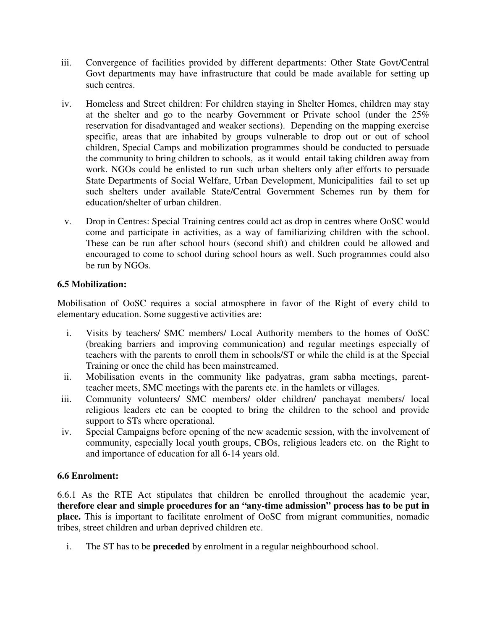- iii. Convergence of facilities provided by different departments: Other State Govt/Central Govt departments may have infrastructure that could be made available for setting up such centres.
- iv. Homeless and Street children: For children staying in Shelter Homes, children may stay at the shelter and go to the nearby Government or Private school (under the 25% reservation for disadvantaged and weaker sections). Depending on the mapping exercise specific, areas that are inhabited by groups vulnerable to drop out or out of school children, Special Camps and mobilization programmes should be conducted to persuade the community to bring children to schools, as it would entail taking children away from work. NGOs could be enlisted to run such urban shelters only after efforts to persuade State Departments of Social Welfare, Urban Development, Municipalities fail to set up such shelters under available State/Central Government Schemes run by them for education/shelter of urban children.
- v. Drop in Centres: Special Training centres could act as drop in centres where OoSC would come and participate in activities, as a way of familiarizing children with the school. These can be run after school hours (second shift) and children could be allowed and encouraged to come to school during school hours as well. Such programmes could also be run by NGOs.

## **6.5 Mobilization:**

Mobilisation of OoSC requires a social atmosphere in favor of the Right of every child to elementary education. Some suggestive activities are:

- i. Visits by teachers/ SMC members/ Local Authority members to the homes of OoSC (breaking barriers and improving communication) and regular meetings especially of teachers with the parents to enroll them in schools/ST or while the child is at the Special Training or once the child has been mainstreamed.
- ii. Mobilisation events in the community like padyatras, gram sabha meetings, parentteacher meets, SMC meetings with the parents etc. in the hamlets or villages.
- iii. Community volunteers/ SMC members/ older children/ panchayat members/ local religious leaders etc can be coopted to bring the children to the school and provide support to STs where operational.
- iv. Special Campaigns before opening of the new academic session, with the involvement of community, especially local youth groups, CBOs, religious leaders etc. on the Right to and importance of education for all 6-14 years old.

#### **6.6 Enrolment:**

6.6.1 As the RTE Act stipulates that children be enrolled throughout the academic year, t**herefore clear and simple procedures for an "any-time admission" process has to be put in place.** This is important to facilitate enrolment of OoSC from migrant communities, nomadic tribes, street children and urban deprived children etc.

i. The ST has to be **preceded** by enrolment in a regular neighbourhood school.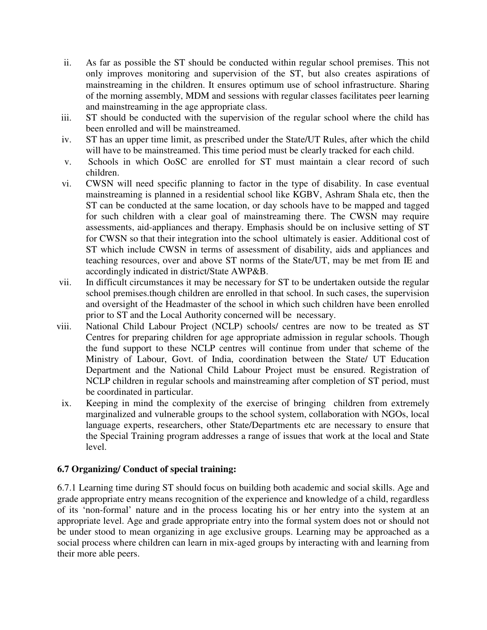- ii. As far as possible the ST should be conducted within regular school premises. This not only improves monitoring and supervision of the ST, but also creates aspirations of mainstreaming in the children. It ensures optimum use of school infrastructure. Sharing of the morning assembly, MDM and sessions with regular classes facilitates peer learning and mainstreaming in the age appropriate class.
- iii. ST should be conducted with the supervision of the regular school where the child has been enrolled and will be mainstreamed.
- iv. ST has an upper time limit, as prescribed under the State/UT Rules, after which the child will have to be mainstreamed. This time period must be clearly tracked for each child.
- v. Schools in which OoSC are enrolled for ST must maintain a clear record of such children.
- vi. CWSN will need specific planning to factor in the type of disability. In case eventual mainstreaming is planned in a residential school like KGBV, Ashram Shala etc, then the ST can be conducted at the same location, or day schools have to be mapped and tagged for such children with a clear goal of mainstreaming there. The CWSN may require assessments, aid-appliances and therapy. Emphasis should be on inclusive setting of ST for CWSN so that their integration into the school ultimately is easier. Additional cost of ST which include CWSN in terms of assessment of disability, aids and appliances and teaching resources, over and above ST norms of the State/UT, may be met from IE and accordingly indicated in district/State AWP&B.
- vii. In difficult circumstances it may be necessary for ST to be undertaken outside the regular school premises.though children are enrolled in that school. In such cases, the supervision and oversight of the Headmaster of the school in which such children have been enrolled prior to ST and the Local Authority concerned will be necessary.
- viii. National Child Labour Project (NCLP) schools/ centres are now to be treated as ST Centres for preparing children for age appropriate admission in regular schools. Though the fund support to these NCLP centres will continue from under that scheme of the Ministry of Labour, Govt. of India, coordination between the State/ UT Education Department and the National Child Labour Project must be ensured. Registration of NCLP children in regular schools and mainstreaming after completion of ST period, must be coordinated in particular.
- ix. Keeping in mind the complexity of the exercise of bringing children from extremely marginalized and vulnerable groups to the school system, collaboration with NGOs, local language experts, researchers, other State/Departments etc are necessary to ensure that the Special Training program addresses a range of issues that work at the local and State level.

#### **6.7 Organizing/ Conduct of special training:**

6.7.1 Learning time during ST should focus on building both academic and social skills. Age and grade appropriate entry means recognition of the experience and knowledge of a child, regardless of its 'non-formal' nature and in the process locating his or her entry into the system at an appropriate level. Age and grade appropriate entry into the formal system does not or should not be under stood to mean organizing in age exclusive groups. Learning may be approached as a social process where children can learn in mix-aged groups by interacting with and learning from their more able peers.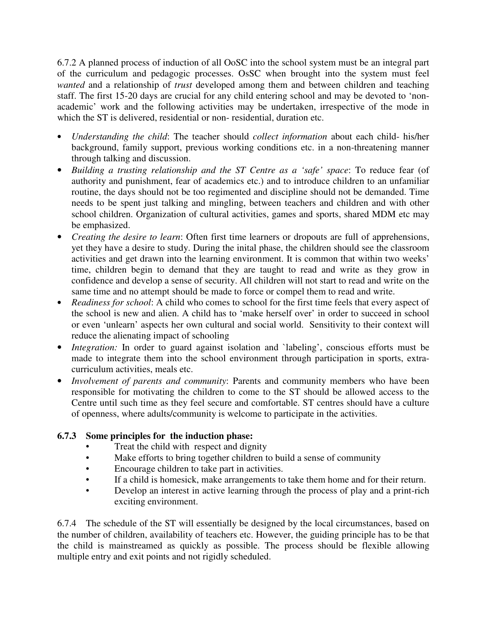6.7.2 A planned process of induction of all OoSC into the school system must be an integral part of the curriculum and pedagogic processes. OsSC when brought into the system must feel *wanted* and a relationship of *trust* developed among them and between children and teaching staff. The first 15-20 days are crucial for any child entering school and may be devoted to 'nonacademic' work and the following activities may be undertaken, irrespective of the mode in which the ST is delivered, residential or non-residential, duration etc.

- *Understanding the child*: The teacher should *collect information* about each child- his/her background, family support, previous working conditions etc. in a non-threatening manner through talking and discussion.
- *Building a trusting relationship and the ST Centre as a 'safe' space*: To reduce fear (of authority and punishment, fear of academics etc.) and to introduce children to an unfamiliar routine, the days should not be too regimented and discipline should not be demanded. Time needs to be spent just talking and mingling, between teachers and children and with other school children. Organization of cultural activities, games and sports, shared MDM etc may be emphasized.
- *Creating the desire to learn*: Often first time learners or dropouts are full of apprehensions, yet they have a desire to study. During the inital phase, the children should see the classroom activities and get drawn into the learning environment. It is common that within two weeks' time, children begin to demand that they are taught to read and write as they grow in confidence and develop a sense of security. All children will not start to read and write on the same time and no attempt should be made to force or compel them to read and write.
- *Readiness for school*: A child who comes to school for the first time feels that every aspect of the school is new and alien. A child has to 'make herself over' in order to succeed in school or even 'unlearn' aspects her own cultural and social world. Sensitivity to their context will reduce the alienating impact of schooling
- *Integration:* In order to guard against isolation and `labeling', conscious efforts must be made to integrate them into the school environment through participation in sports, extracurriculum activities, meals etc.
- *Involvement of parents and community*: Parents and community members who have been responsible for motivating the children to come to the ST should be allowed access to the Centre until such time as they feel secure and comfortable. ST centres should have a culture of openness, where adults/community is welcome to participate in the activities.

# **6.7.3 Some principles for the induction phase:**

- Treat the child with respect and dignity
- Make efforts to bring together children to build a sense of community
- Encourage children to take part in activities.
- If a child is homesick, make arrangements to take them home and for their return.
- Develop an interest in active learning through the process of play and a print-rich exciting environment.

6.7.4 The schedule of the ST will essentially be designed by the local circumstances, based on the number of children, availability of teachers etc. However, the guiding principle has to be that the child is mainstreamed as quickly as possible. The process should be flexible allowing multiple entry and exit points and not rigidly scheduled.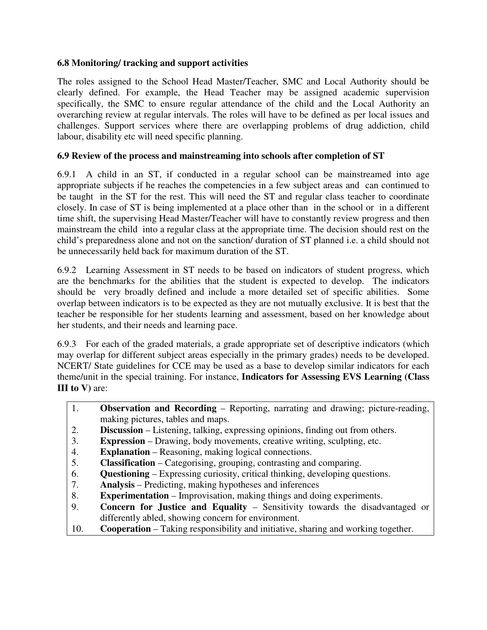## **6.8 Monitoring/ tracking and support activities**

The roles assigned to the School Head Master/Teacher, SMC and Local Authority should be clearly defined. For example, the Head Teacher may be assigned academic supervision specifically, the SMC to ensure regular attendance of the child and the Local Authority an overarching review at regular intervals. The roles will have to be defined as per local issues and challenges. Support services where there are overlapping problems of drug addiction, child labour, disability etc will need specific planning.

# **6.9 Review of the process and mainstreaming into schools after completion of ST**

6.9.1 A child in an ST, if conducted in a regular school can be mainstreamed into age appropriate subjects if he reaches the competencies in a few subject areas and can continued to be taught in the ST for the rest. This will need the ST and regular class teacher to coordinate closely. In case of ST is being implemented at a place other than in the school or in a different time shift, the supervising Head Master/Teacher will have to constantly review progress and then mainstream the child into a regular class at the appropriate time. The decision should rest on the child's preparedness alone and not on the sanction/ duration of ST planned i.e. a child should not be unnecessarily held back for maximum duration of the ST.

6.9.2 Learning Assessment in ST needs to be based on indicators of student progress, which are the benchmarks for the abilities that the student is expected to develop. The indicators should be very broadly defined and include a more detailed set of specific abilities. Some overlap between indicators is to be expected as they are not mutually exclusive. It is best that the teacher be responsible for her students learning and assessment, based on her knowledge about her students, and their needs and learning pace.

6.9.3 For each of the graded materials, a grade appropriate set of descriptive indicators (which may overlap for different subject areas especially in the primary grades) needs to be developed. NCERT/ State guidelines for CCE may be used as a base to develop similar indicators for each theme/unit in the special training. For instance, **Indicators for Assessing EVS Learning (Class III to V)** are:

- 1. **Observation and Recording** Reporting, narrating and drawing; picture-reading, making pictures, tables and maps.
- 2. **Discussion** Listening, talking, expressing opinions, finding out from others.
- 3. **Expression**  Drawing, body movements, creative writing, sculpting, etc.
- 4. **Explanation** Reasoning, making logical connections.
- 5. **Classification**  Categorising, grouping, contrasting and comparing.
- 6. **Questioning**  Expressing curiosity, critical thinking, developing questions.
- 7. **Analysis** Predicting, making hypotheses and inferences
- 8. **Experimentation** Improvisation, making things and doing experiments.
- 9. **Concern for Justice and Equality** Sensitivity towards the disadvantaged or differently abled, showing concern for environment.
- 10. **Cooperation**  Taking responsibility and initiative, sharing and working together.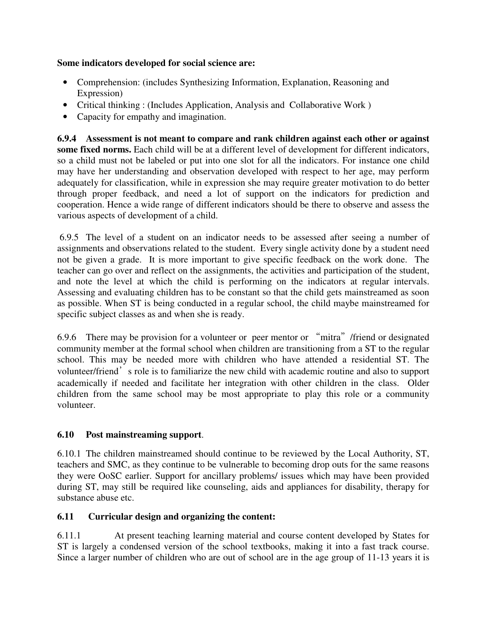## **Some indicators developed for social science are:**

- Comprehension: (includes Synthesizing Information, Explanation, Reasoning and Expression)
- Critical thinking : (Includes Application, Analysis and Collaborative Work )
- Capacity for empathy and imagination.

**6.9.4 Assessment is not meant to compare and rank children against each other or against some fixed norms.** Each child will be at a different level of development for different indicators, so a child must not be labeled or put into one slot for all the indicators. For instance one child may have her understanding and observation developed with respect to her age, may perform adequately for classification, while in expression she may require greater motivation to do better through proper feedback, and need a lot of support on the indicators for prediction and cooperation. Hence a wide range of different indicators should be there to observe and assess the various aspects of development of a child.

 6.9.5 The level of a student on an indicator needs to be assessed after seeing a number of assignments and observations related to the student. Every single activity done by a student need not be given a grade. It is more important to give specific feedback on the work done. The teacher can go over and reflect on the assignments, the activities and participation of the student, and note the level at which the child is performing on the indicators at regular intervals. Assessing and evaluating children has to be constant so that the child gets mainstreamed as soon as possible. When ST is being conducted in a regular school, the child maybe mainstreamed for specific subject classes as and when she is ready.

6.9.6 There may be provision for a volunteer or peer mentor or "mitra"/friend or designated community member at the formal school when children are transitioning from a ST to the regular school. This may be needed more with children who have attended a residential ST. The volunteer/friend's role is to familiarize the new child with academic routine and also to support academically if needed and facilitate her integration with other children in the class. Older children from the same school may be most appropriate to play this role or a community volunteer.

# **6.10 Post mainstreaming support**.

6.10.1 The children mainstreamed should continue to be reviewed by the Local Authority, ST, teachers and SMC, as they continue to be vulnerable to becoming drop outs for the same reasons they were OoSC earlier. Support for ancillary problems/ issues which may have been provided during ST, may still be required like counseling, aids and appliances for disability, therapy for substance abuse etc.

# **6.11 Curricular design and organizing the content:**

6.11.1 At present teaching learning material and course content developed by States for ST is largely a condensed version of the school textbooks, making it into a fast track course. Since a larger number of children who are out of school are in the age group of 11-13 years it is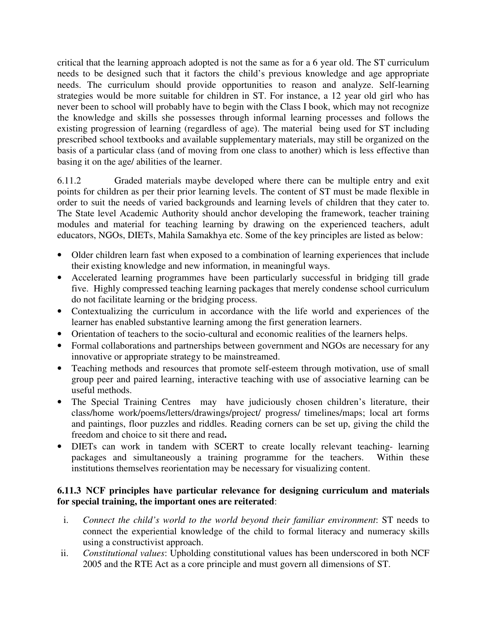critical that the learning approach adopted is not the same as for a 6 year old. The ST curriculum needs to be designed such that it factors the child's previous knowledge and age appropriate needs. The curriculum should provide opportunities to reason and analyze. Self-learning strategies would be more suitable for children in ST. For instance, a 12 year old girl who has never been to school will probably have to begin with the Class I book, which may not recognize the knowledge and skills she possesses through informal learning processes and follows the existing progression of learning (regardless of age). The material being used for ST including prescribed school textbooks and available supplementary materials, may still be organized on the basis of a particular class (and of moving from one class to another) which is less effective than basing it on the age/ abilities of the learner.

6.11.2 Graded materials maybe developed where there can be multiple entry and exit points for children as per their prior learning levels. The content of ST must be made flexible in order to suit the needs of varied backgrounds and learning levels of children that they cater to. The State level Academic Authority should anchor developing the framework, teacher training modules and material for teaching learning by drawing on the experienced teachers, adult educators, NGOs, DIETs, Mahila Samakhya etc. Some of the key principles are listed as below:

- Older children learn fast when exposed to a combination of learning experiences that include their existing knowledge and new information, in meaningful ways.
- Accelerated learning programmes have been particularly successful in bridging till grade five. Highly compressed teaching learning packages that merely condense school curriculum do not facilitate learning or the bridging process.
- Contextualizing the curriculum in accordance with the life world and experiences of the learner has enabled substantive learning among the first generation learners.
- Orientation of teachers to the socio-cultural and economic realities of the learners helps.
- Formal collaborations and partnerships between government and NGOs are necessary for any innovative or appropriate strategy to be mainstreamed.
- Teaching methods and resources that promote self-esteem through motivation, use of small group peer and paired learning, interactive teaching with use of associative learning can be useful methods.
- The Special Training Centres may have judiciously chosen children's literature, their class/home work/poems/letters/drawings/project/ progress/ timelines/maps; local art forms and paintings, floor puzzles and riddles. Reading corners can be set up, giving the child the freedom and choice to sit there and read**.**
- DIETs can work in tandem with SCERT to create locally relevant teaching- learning packages and simultaneously a training programme for the teachers. Within these institutions themselves reorientation may be necessary for visualizing content.

# **6.11.3 NCF principles have particular relevance for designing curriculum and materials for special training, the important ones are reiterated**:

- i. *Connect the child's world to the world beyond their familiar environment*: ST needs to connect the experiential knowledge of the child to formal literacy and numeracy skills using a constructivist approach.
- ii. *Constitutional values*: Upholding constitutional values has been underscored in both NCF 2005 and the RTE Act as a core principle and must govern all dimensions of ST.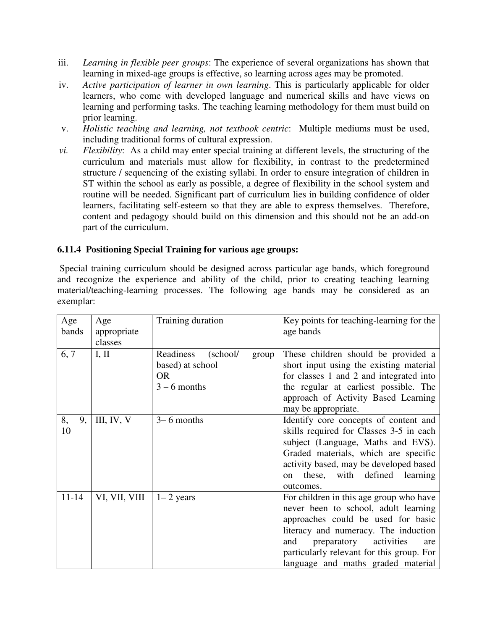- iii. *Learning in flexible peer groups*: The experience of several organizations has shown that learning in mixed-age groups is effective, so learning across ages may be promoted.
- iv. *Active participation of learner in own learning*. This is particularly applicable for older learners, who come with developed language and numerical skills and have views on learning and performing tasks. The teaching learning methodology for them must build on prior learning.
- v. *Holistic teaching and learning, not textbook centric*: Multiple mediums must be used, including traditional forms of cultural expression.
- *vi. Flexibility*: As a child may enter special training at different levels, the structuring of the curriculum and materials must allow for flexibility, in contrast to the predetermined structure / sequencing of the existing syllabi. In order to ensure integration of children in ST within the school as early as possible, a degree of flexibility in the school system and routine will be needed. Significant part of curriculum lies in building confidence of older learners, facilitating self-esteem so that they are able to express themselves. Therefore, content and pedagogy should build on this dimension and this should not be an add-on part of the curriculum.

# **6.11.4 Positioning Special Training for various age groups:**

Special training curriculum should be designed across particular age bands, which foreground and recognize the experience and ability of the child, prior to creating teaching learning material/teaching-learning processes. The following age bands may be considered as an exemplar:

| Age<br>bands   | Age<br>appropriate<br>classes | Training duration                                                                 | Key points for teaching-learning for the<br>age bands                                                                                                                                                                                                                                       |
|----------------|-------------------------------|-----------------------------------------------------------------------------------|---------------------------------------------------------------------------------------------------------------------------------------------------------------------------------------------------------------------------------------------------------------------------------------------|
| 6, 7           | I, II                         | Readiness<br>(school/<br>group<br>based) at school<br><b>OR</b><br>$3 - 6$ months | These children should be provided a<br>short input using the existing material<br>for classes 1 and 2 and integrated into<br>the regular at earliest possible. The<br>approach of Activity Based Learning<br>may be appropriate.                                                            |
| 8,<br>9,<br>10 | III, IV, V                    | $3-6$ months                                                                      | Identify core concepts of content and<br>skills required for Classes 3-5 in each<br>subject (Language, Maths and EVS).<br>Graded materials, which are specific<br>activity based, may be developed based<br>these, with defined learning<br>on<br>outcomes.                                 |
| $11 - 14$      | VI, VII, VIII                 | $1 - 2$ years                                                                     | For children in this age group who have<br>never been to school, adult learning<br>approaches could be used for basic<br>literacy and numeracy. The induction<br>activities<br>and<br>preparatory<br>are<br>particularly relevant for this group. For<br>language and maths graded material |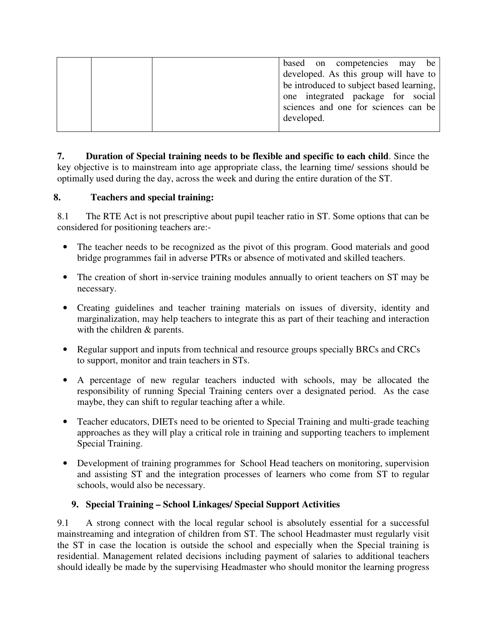|  | based on competencies may be<br>developed. As this group will have to<br>be introduced to subject based learning,<br>one integrated package for social<br>sciences and one for sciences can be<br>developed. |
|--|--------------------------------------------------------------------------------------------------------------------------------------------------------------------------------------------------------------|
|--|--------------------------------------------------------------------------------------------------------------------------------------------------------------------------------------------------------------|

**7. Duration of Special training needs to be flexible and specific to each child**. Since the key objective is to mainstream into age appropriate class, the learning time/ sessions should be optimally used during the day, across the week and during the entire duration of the ST.

## **8. Teachers and special training:**

8.1 The RTE Act is not prescriptive about pupil teacher ratio in ST. Some options that can be considered for positioning teachers are:-

- The teacher needs to be recognized as the pivot of this program. Good materials and good bridge programmes fail in adverse PTRs or absence of motivated and skilled teachers.
- The creation of short in-service training modules annually to orient teachers on ST may be necessary.
- Creating guidelines and teacher training materials on issues of diversity, identity and marginalization, may help teachers to integrate this as part of their teaching and interaction with the children & parents.
- Regular support and inputs from technical and resource groups specially BRCs and CRCs to support, monitor and train teachers in STs.
- A percentage of new regular teachers inducted with schools, may be allocated the responsibility of running Special Training centers over a designated period. As the case maybe, they can shift to regular teaching after a while.
- Teacher educators, DIETs need to be oriented to Special Training and multi-grade teaching approaches as they will play a critical role in training and supporting teachers to implement Special Training.
- Development of training programmes for School Head teachers on monitoring, supervision and assisting ST and the integration processes of learners who come from ST to regular schools, would also be necessary.

## **9. Special Training – School Linkages/ Special Support Activities**

9.1 A strong connect with the local regular school is absolutely essential for a successful mainstreaming and integration of children from ST. The school Headmaster must regularly visit the ST in case the location is outside the school and especially when the Special training is residential. Management related decisions including payment of salaries to additional teachers should ideally be made by the supervising Headmaster who should monitor the learning progress